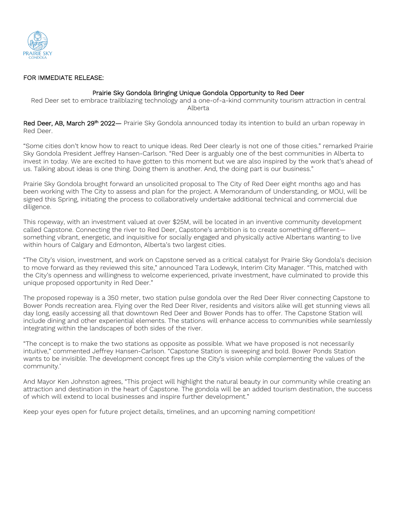

## FOR IMMEDIATE RELEASE:

## Prairie Sky Gondola Bringing Unique Gondola Opportunity to Red Deer

Red Deer set to embrace trailblazing technology and a one-of-a-kind community tourism attraction in central Alberta

Red Deer, AB, March 29<sup>th</sup> 2022— Prairie Sky Gondola announced today its intention to build an urban ropeway in Red Deer.

"Some cities don't know how to react to unique ideas. Red Deer clearly is not one of those cities." remarked Prairie Sky Gondola President Jeffrey Hansen-Carlson. "Red Deer is arguably one of the best communities in Alberta to invest in today. We are excited to have gotten to this moment but we are also inspired by the work that's ahead of us. Talking about ideas is one thing. Doing them is another. And, the doing part is our business."

Prairie Sky Gondola brought forward an unsolicited proposal to The City of Red Deer eight months ago and has been working with The City to assess and plan for the project. A Memorandum of Understanding, or MOU, will be signed this Spring, initiating the process to collaboratively undertake additional technical and commercial due diligence.

This ropeway, with an investment valued at over \$25M, will be located in an inventive community development called Capstone. Connecting the river to Red Deer, Capstone's ambition is to create something different something vibrant, energetic, and inquisitive for socially engaged and physically active Albertans wanting to live within hours of Calgary and Edmonton, Alberta's two largest cities.

"The City's vision, investment, and work on Capstone served as a critical catalyst for Prairie Sky Gondola's decision to move forward as they reviewed this site," announced Tara Lodewyk, Interim City Manager. "This, matched with the City's openness and willingness to welcome experienced, private investment, have culminated to provide this unique proposed opportunity in Red Deer."

The proposed ropeway is a 350 meter, two station pulse gondola over the Red Deer River connecting Capstone to Bower Ponds recreation area. Flying over the Red Deer River, residents and visitors alike will get stunning views all day long, easily accessing all that downtown Red Deer and Bower Ponds has to offer. The Capstone Station will include dining and other experiential elements. The stations will enhance access to communities while seamlessly integrating within the landscapes of both sides of the river.

"The concept is to make the two stations as opposite as possible. What we have proposed is not necessarily intuitive," commented Jeffrey Hansen-Carlson. "Capstone Station is sweeping and bold. Bower Ponds Station wants to be invisible. The development concept fires up the City's vision while complementing the values of the community.'

And Mayor Ken Johnston agrees, "This project will highlight the natural beauty in our community while creating an attraction and destination in the heart of Capstone. The gondola will be an added tourism destination, the success of which will extend to local businesses and inspire further development."

Keep your eyes open for future project details, timelines, and an upcoming naming competition!